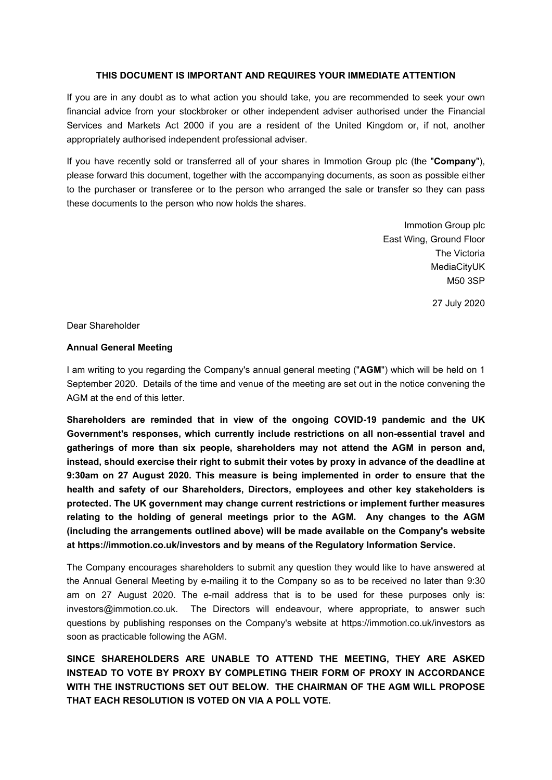### THIS DOCUMENT IS IMPORTANT AND REQUIRES YOUR IMMEDIATE ATTENTION

If you are in any doubt as to what action you should take, you are recommended to seek your own financial advice from your stockbroker or other independent adviser authorised under the Financial Services and Markets Act 2000 if you are a resident of the United Kingdom or, if not, another appropriately authorised independent professional adviser.

If you have recently sold or transferred all of your shares in Immotion Group plc (the "Company"), please forward this document, together with the accompanying documents, as soon as possible either to the purchaser or transferee or to the person who arranged the sale or transfer so they can pass these documents to the person who now holds the shares.

> Immotion Group plc East Wing, Ground Floor The Victoria MediaCityUK M50 3SP

> > 27 July 2020

Dear Shareholder

#### Annual General Meeting

I am writing to you regarding the Company's annual general meeting ("AGM") which will be held on 1 September 2020. Details of the time and venue of the meeting are set out in the notice convening the AGM at the end of this letter.

Shareholders are reminded that in view of the ongoing COVID-19 pandemic and the UK Government's responses, which currently include restrictions on all non-essential travel and gatherings of more than six people, shareholders may not attend the AGM in person and, instead, should exercise their right to submit their votes by proxy in advance of the deadline at 9:30am on 27 August 2020. This measure is being implemented in order to ensure that the health and safety of our Shareholders, Directors, employees and other key stakeholders is protected. The UK government may change current restrictions or implement further measures relating to the holding of general meetings prior to the AGM. Any changes to the AGM (including the arrangements outlined above) will be made available on the Company's website at https://immotion.co.uk/investors and by means of the Regulatory Information Service.

The Company encourages shareholders to submit any question they would like to have answered at the Annual General Meeting by e-mailing it to the Company so as to be received no later than 9:30 am on 27 August 2020. The e-mail address that is to be used for these purposes only is: investors@immotion.co.uk. The Directors will endeavour, where appropriate, to answer such questions by publishing responses on the Company's website at https://immotion.co.uk/investors as soon as practicable following the AGM.

SINCE SHAREHOLDERS ARE UNABLE TO ATTEND THE MEETING, THEY ARE ASKED INSTEAD TO VOTE BY PROXY BY COMPLETING THEIR FORM OF PROXY IN ACCORDANCE WITH THE INSTRUCTIONS SET OUT BELOW. THE CHAIRMAN OF THE AGM WILL PROPOSE THAT EACH RESOLUTION IS VOTED ON VIA A POLL VOTE.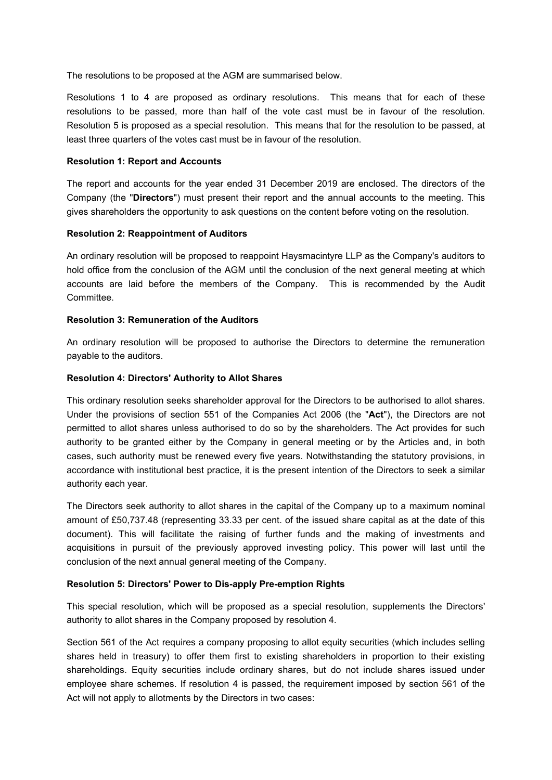The resolutions to be proposed at the AGM are summarised below.

Resolutions 1 to 4 are proposed as ordinary resolutions. This means that for each of these resolutions to be passed, more than half of the vote cast must be in favour of the resolution. Resolution 5 is proposed as a special resolution. This means that for the resolution to be passed, at least three quarters of the votes cast must be in favour of the resolution.

### Resolution 1: Report and Accounts

The report and accounts for the year ended 31 December 2019 are enclosed. The directors of the Company (the "Directors") must present their report and the annual accounts to the meeting. This gives shareholders the opportunity to ask questions on the content before voting on the resolution.

### Resolution 2: Reappointment of Auditors

An ordinary resolution will be proposed to reappoint Haysmacintyre LLP as the Company's auditors to hold office from the conclusion of the AGM until the conclusion of the next general meeting at which accounts are laid before the members of the Company. This is recommended by the Audit **Committee** 

### Resolution 3: Remuneration of the Auditors

An ordinary resolution will be proposed to authorise the Directors to determine the remuneration payable to the auditors.

### Resolution 4: Directors' Authority to Allot Shares

This ordinary resolution seeks shareholder approval for the Directors to be authorised to allot shares. Under the provisions of section 551 of the Companies Act 2006 (the "Act"), the Directors are not permitted to allot shares unless authorised to do so by the shareholders. The Act provides for such authority to be granted either by the Company in general meeting or by the Articles and, in both cases, such authority must be renewed every five years. Notwithstanding the statutory provisions, in accordance with institutional best practice, it is the present intention of the Directors to seek a similar authority each year.

The Directors seek authority to allot shares in the capital of the Company up to a maximum nominal amount of £50,737.48 (representing 33.33 per cent. of the issued share capital as at the date of this document). This will facilitate the raising of further funds and the making of investments and acquisitions in pursuit of the previously approved investing policy. This power will last until the conclusion of the next annual general meeting of the Company.

#### Resolution 5: Directors' Power to Dis-apply Pre-emption Rights

This special resolution, which will be proposed as a special resolution, supplements the Directors' authority to allot shares in the Company proposed by resolution 4.

Section 561 of the Act requires a company proposing to allot equity securities (which includes selling shares held in treasury) to offer them first to existing shareholders in proportion to their existing shareholdings. Equity securities include ordinary shares, but do not include shares issued under employee share schemes. If resolution 4 is passed, the requirement imposed by section 561 of the Act will not apply to allotments by the Directors in two cases: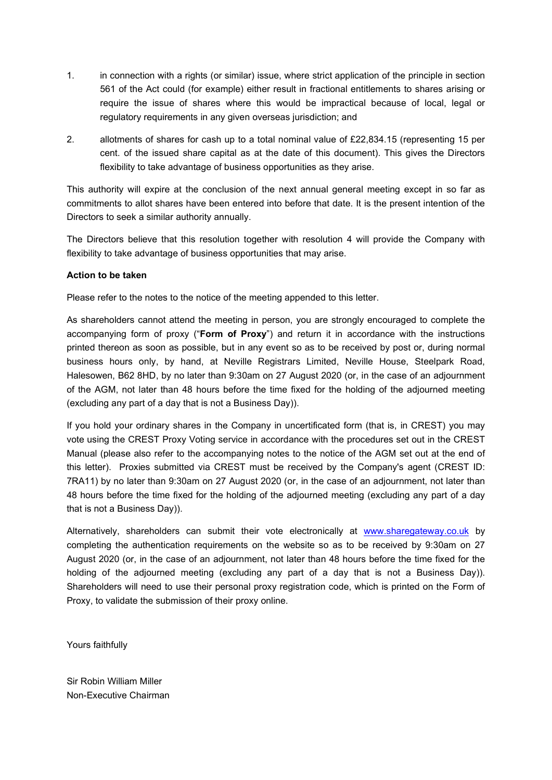- 1. in connection with a rights (or similar) issue, where strict application of the principle in section 561 of the Act could (for example) either result in fractional entitlements to shares arising or require the issue of shares where this would be impractical because of local, legal or regulatory requirements in any given overseas jurisdiction; and
- 2. allotments of shares for cash up to a total nominal value of £22,834.15 (representing 15 per cent. of the issued share capital as at the date of this document). This gives the Directors flexibility to take advantage of business opportunities as they arise.

This authority will expire at the conclusion of the next annual general meeting except in so far as commitments to allot shares have been entered into before that date. It is the present intention of the Directors to seek a similar authority annually.

The Directors believe that this resolution together with resolution 4 will provide the Company with flexibility to take advantage of business opportunities that may arise.

## Action to be taken

Please refer to the notes to the notice of the meeting appended to this letter.

As shareholders cannot attend the meeting in person, you are strongly encouraged to complete the accompanying form of proxy ("Form of Proxy") and return it in accordance with the instructions printed thereon as soon as possible, but in any event so as to be received by post or, during normal business hours only, by hand, at Neville Registrars Limited, Neville House, Steelpark Road, Halesowen, B62 8HD, by no later than 9:30am on 27 August 2020 (or, in the case of an adjournment of the AGM, not later than 48 hours before the time fixed for the holding of the adjourned meeting (excluding any part of a day that is not a Business Day)).

If you hold your ordinary shares in the Company in uncertificated form (that is, in CREST) you may vote using the CREST Proxy Voting service in accordance with the procedures set out in the CREST Manual (please also refer to the accompanying notes to the notice of the AGM set out at the end of this letter). Proxies submitted via CREST must be received by the Company's agent (CREST ID: 7RA11) by no later than 9:30am on 27 August 2020 (or, in the case of an adjournment, not later than 48 hours before the time fixed for the holding of the adjourned meeting (excluding any part of a day that is not a Business Day)).

Alternatively, shareholders can submit their vote electronically at www.sharegateway.co.uk by completing the authentication requirements on the website so as to be received by 9:30am on 27 August 2020 (or, in the case of an adjournment, not later than 48 hours before the time fixed for the holding of the adjourned meeting (excluding any part of a day that is not a Business Day)). Shareholders will need to use their personal proxy registration code, which is printed on the Form of Proxy, to validate the submission of their proxy online.

Yours faithfully

Sir Robin William Miller Non-Executive Chairman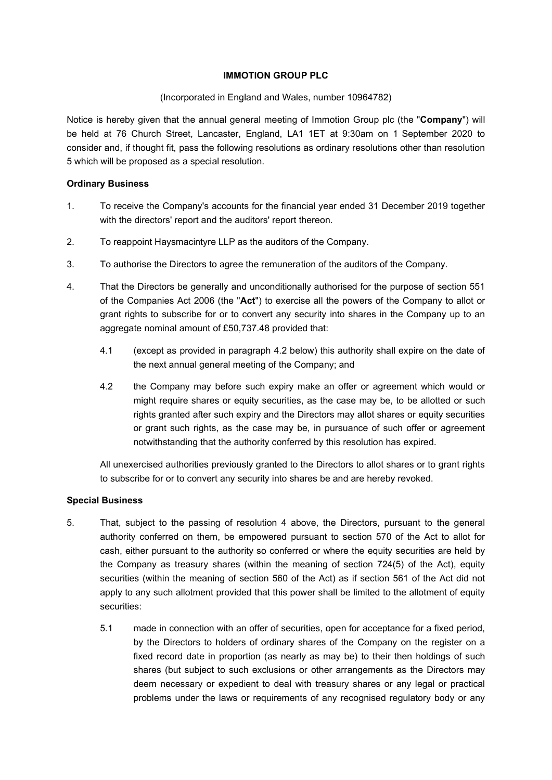## IMMOTION GROUP PLC

## (Incorporated in England and Wales, number 10964782)

Notice is hereby given that the annual general meeting of Immotion Group plc (the "Company") will be held at 76 Church Street, Lancaster, England, LA1 1ET at 9:30am on 1 September 2020 to consider and, if thought fit, pass the following resolutions as ordinary resolutions other than resolution 5 which will be proposed as a special resolution.

# Ordinary Business

- 1. To receive the Company's accounts for the financial year ended 31 December 2019 together with the directors' report and the auditors' report thereon.
- 2. To reappoint Haysmacintyre LLP as the auditors of the Company.
- 3. To authorise the Directors to agree the remuneration of the auditors of the Company.
- 4. That the Directors be generally and unconditionally authorised for the purpose of section 551 of the Companies Act 2006 (the "Act") to exercise all the powers of the Company to allot or grant rights to subscribe for or to convert any security into shares in the Company up to an aggregate nominal amount of £50,737.48 provided that:
	- 4.1 (except as provided in paragraph 4.2 below) this authority shall expire on the date of the next annual general meeting of the Company; and
	- 4.2 the Company may before such expiry make an offer or agreement which would or might require shares or equity securities, as the case may be, to be allotted or such rights granted after such expiry and the Directors may allot shares or equity securities or grant such rights, as the case may be, in pursuance of such offer or agreement notwithstanding that the authority conferred by this resolution has expired.

All unexercised authorities previously granted to the Directors to allot shares or to grant rights to subscribe for or to convert any security into shares be and are hereby revoked.

## Special Business

- 5. That, subject to the passing of resolution 4 above, the Directors, pursuant to the general authority conferred on them, be empowered pursuant to section 570 of the Act to allot for cash, either pursuant to the authority so conferred or where the equity securities are held by the Company as treasury shares (within the meaning of section 724(5) of the Act), equity securities (within the meaning of section 560 of the Act) as if section 561 of the Act did not apply to any such allotment provided that this power shall be limited to the allotment of equity securities:
	- 5.1 made in connection with an offer of securities, open for acceptance for a fixed period, by the Directors to holders of ordinary shares of the Company on the register on a fixed record date in proportion (as nearly as may be) to their then holdings of such shares (but subject to such exclusions or other arrangements as the Directors may deem necessary or expedient to deal with treasury shares or any legal or practical problems under the laws or requirements of any recognised regulatory body or any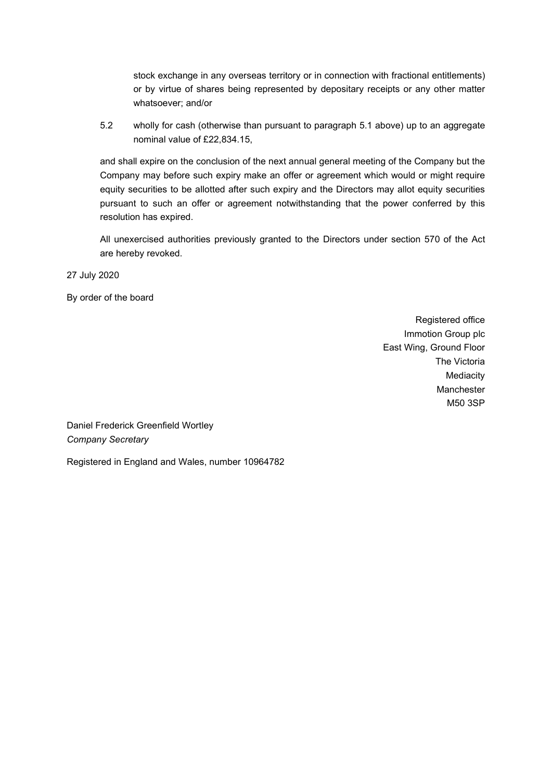stock exchange in any overseas territory or in connection with fractional entitlements) or by virtue of shares being represented by depositary receipts or any other matter whatsoever; and/or

5.2 wholly for cash (otherwise than pursuant to paragraph 5.1 above) up to an aggregate nominal value of £22,834.15,

and shall expire on the conclusion of the next annual general meeting of the Company but the Company may before such expiry make an offer or agreement which would or might require equity securities to be allotted after such expiry and the Directors may allot equity securities pursuant to such an offer or agreement notwithstanding that the power conferred by this resolution has expired.

All unexercised authorities previously granted to the Directors under section 570 of the Act are hereby revoked.

27 July 2020

By order of the board

Registered office Immotion Group plc East Wing, Ground Floor The Victoria Mediacity Manchester M50 3SP

Daniel Frederick Greenfield Wortley Company Secretary

Registered in England and Wales, number 10964782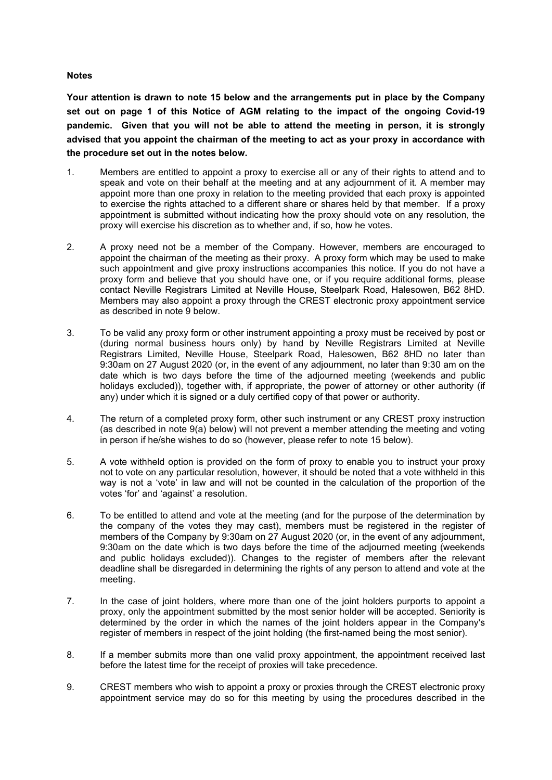### **Notes**

Your attention is drawn to note 15 below and the arrangements put in place by the Company set out on page 1 of this Notice of AGM relating to the impact of the ongoing Covid-19 pandemic. Given that you will not be able to attend the meeting in person, it is strongly advised that you appoint the chairman of the meeting to act as your proxy in accordance with the procedure set out in the notes below.

- 1. Members are entitled to appoint a proxy to exercise all or any of their rights to attend and to speak and vote on their behalf at the meeting and at any adjournment of it. A member may appoint more than one proxy in relation to the meeting provided that each proxy is appointed to exercise the rights attached to a different share or shares held by that member. If a proxy appointment is submitted without indicating how the proxy should vote on any resolution, the proxy will exercise his discretion as to whether and, if so, how he votes.
- 2. A proxy need not be a member of the Company. However, members are encouraged to appoint the chairman of the meeting as their proxy. A proxy form which may be used to make such appointment and give proxy instructions accompanies this notice. If you do not have a proxy form and believe that you should have one, or if you require additional forms, please contact Neville Registrars Limited at Neville House, Steelpark Road, Halesowen, B62 8HD. Members may also appoint a proxy through the CREST electronic proxy appointment service as described in note 9 below.
- 3. To be valid any proxy form or other instrument appointing a proxy must be received by post or (during normal business hours only) by hand by Neville Registrars Limited at Neville Registrars Limited, Neville House, Steelpark Road, Halesowen, B62 8HD no later than 9:30am on 27 August 2020 (or, in the event of any adjournment, no later than 9:30 am on the date which is two days before the time of the adjourned meeting (weekends and public holidays excluded)), together with, if appropriate, the power of attorney or other authority (if any) under which it is signed or a duly certified copy of that power or authority.
- 4. The return of a completed proxy form, other such instrument or any CREST proxy instruction (as described in note 9(a) below) will not prevent a member attending the meeting and voting in person if he/she wishes to do so (however, please refer to note 15 below).
- 5. A vote withheld option is provided on the form of proxy to enable you to instruct your proxy not to vote on any particular resolution, however, it should be noted that a vote withheld in this way is not a 'vote' in law and will not be counted in the calculation of the proportion of the votes 'for' and 'against' a resolution.
- 6. To be entitled to attend and vote at the meeting (and for the purpose of the determination by the company of the votes they may cast), members must be registered in the register of members of the Company by 9:30am on 27 August 2020 (or, in the event of any adjournment, 9:30am on the date which is two days before the time of the adjourned meeting (weekends and public holidays excluded)). Changes to the register of members after the relevant deadline shall be disregarded in determining the rights of any person to attend and vote at the meeting.
- 7. In the case of joint holders, where more than one of the joint holders purports to appoint a proxy, only the appointment submitted by the most senior holder will be accepted. Seniority is determined by the order in which the names of the joint holders appear in the Company's register of members in respect of the joint holding (the first-named being the most senior).
- 8. If a member submits more than one valid proxy appointment, the appointment received last before the latest time for the receipt of proxies will take precedence.
- 9. CREST members who wish to appoint a proxy or proxies through the CREST electronic proxy appointment service may do so for this meeting by using the procedures described in the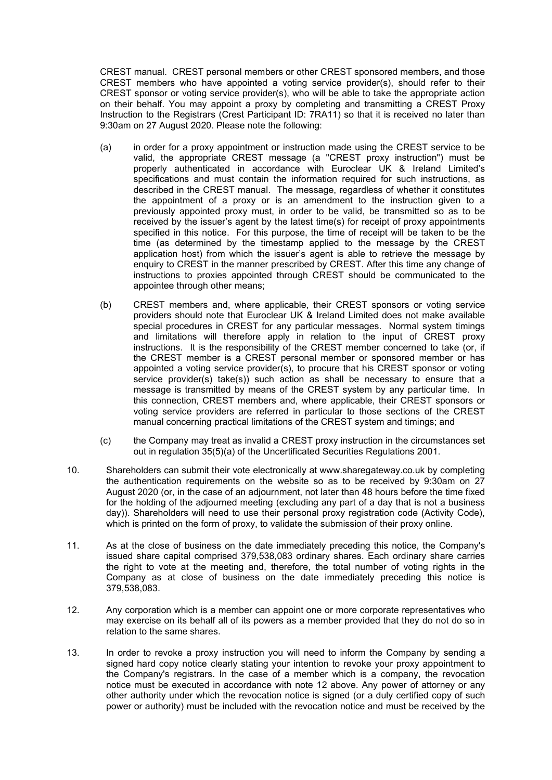CREST manual. CREST personal members or other CREST sponsored members, and those CREST members who have appointed a voting service provider(s), should refer to their CREST sponsor or voting service provider(s), who will be able to take the appropriate action on their behalf. You may appoint a proxy by completing and transmitting a CREST Proxy Instruction to the Registrars (Crest Participant ID: 7RA11) so that it is received no later than 9:30am on 27 August 2020. Please note the following:

- (a) in order for a proxy appointment or instruction made using the CREST service to be valid, the appropriate CREST message (a "CREST proxy instruction") must be properly authenticated in accordance with Euroclear UK & Ireland Limited's specifications and must contain the information required for such instructions, as described in the CREST manual. The message, regardless of whether it constitutes the appointment of a proxy or is an amendment to the instruction given to a previously appointed proxy must, in order to be valid, be transmitted so as to be received by the issuer's agent by the latest time(s) for receipt of proxy appointments specified in this notice. For this purpose, the time of receipt will be taken to be the time (as determined by the timestamp applied to the message by the CREST application host) from which the issuer's agent is able to retrieve the message by enquiry to CREST in the manner prescribed by CREST. After this time any change of instructions to proxies appointed through CREST should be communicated to the appointee through other means;
- (b) CREST members and, where applicable, their CREST sponsors or voting service providers should note that Euroclear UK & Ireland Limited does not make available special procedures in CREST for any particular messages. Normal system timings and limitations will therefore apply in relation to the input of CREST proxy instructions. It is the responsibility of the CREST member concerned to take (or, if the CREST member is a CREST personal member or sponsored member or has appointed a voting service provider(s), to procure that his CREST sponsor or voting service provider(s) take(s)) such action as shall be necessary to ensure that a message is transmitted by means of the CREST system by any particular time. In this connection, CREST members and, where applicable, their CREST sponsors or voting service providers are referred in particular to those sections of the CREST manual concerning practical limitations of the CREST system and timings; and
- (c) the Company may treat as invalid a CREST proxy instruction in the circumstances set out in regulation 35(5)(a) of the Uncertificated Securities Regulations 2001.
- 10. Shareholders can submit their vote electronically at www.sharegateway.co.uk by completing the authentication requirements on the website so as to be received by 9:30am on 27 August 2020 (or, in the case of an adjournment, not later than 48 hours before the time fixed for the holding of the adjourned meeting (excluding any part of a day that is not a business day)). Shareholders will need to use their personal proxy registration code (Activity Code), which is printed on the form of proxy, to validate the submission of their proxy online.
- 11. As at the close of business on the date immediately preceding this notice, the Company's issued share capital comprised 379,538,083 ordinary shares. Each ordinary share carries the right to vote at the meeting and, therefore, the total number of voting rights in the Company as at close of business on the date immediately preceding this notice is 379,538,083.
- 12. Any corporation which is a member can appoint one or more corporate representatives who may exercise on its behalf all of its powers as a member provided that they do not do so in relation to the same shares.
- 13. In order to revoke a proxy instruction you will need to inform the Company by sending a signed hard copy notice clearly stating your intention to revoke your proxy appointment to the Company's registrars. In the case of a member which is a company, the revocation notice must be executed in accordance with note 12 above. Any power of attorney or any other authority under which the revocation notice is signed (or a duly certified copy of such power or authority) must be included with the revocation notice and must be received by the